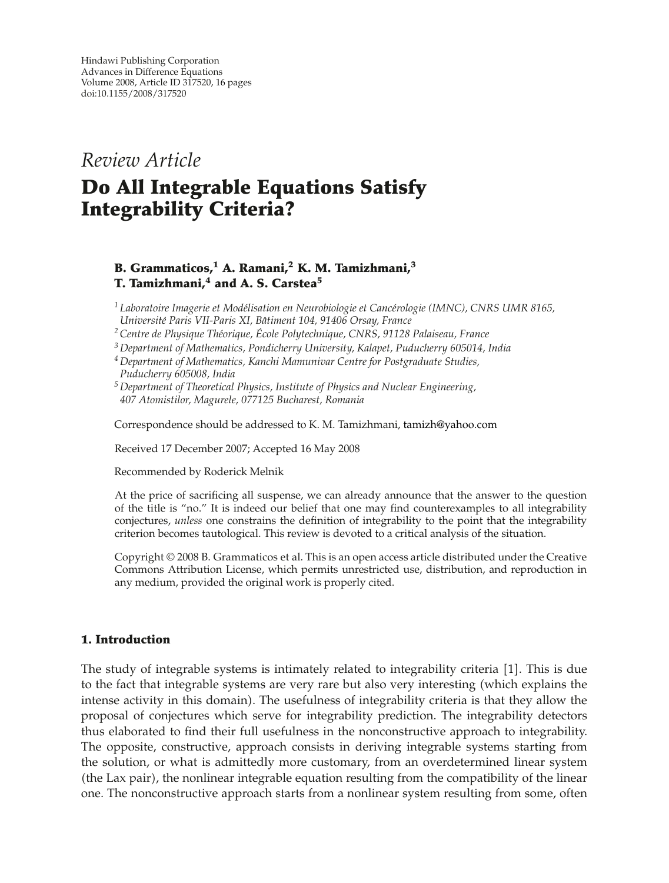*Review Article*

# **Do All Integrable Equations Satisfy Integrability Criteria?**

# **B. Grammaticos,1 A. Ramani,2 K. M. Tamizhmani,3 T. Tamizhmani,4 and A. S. Carstea<sup>5</sup>**

*<sup>1</sup> Laboratoire Imagerie et Modelisation en Neurobiologie et Canc ´ erologie (IMNC), CNRS UMR 8165, ´ Universite Paris VII-Paris XI, B ´ atiment 104, 91406 Orsay, France ˆ*

*2Centre de Physique Theorique, ´ Ecole Polytechnique, CNRS, 91128 Palaiseau, France ´*

*<sup>3</sup> Department of Mathematics, Pondicherry University, Kalapet, Puducherry 605014, India*

*<sup>4</sup> Department of Mathematics, Kanchi Mamunivar Centre for Postgraduate Studies, Puducherry 605008, India*

*<sup>5</sup> Department of Theoretical Physics, Institute of Physics and Nuclear Engineering, 407 Atomistilor, Magurele, 077125 Bucharest, Romania*

Correspondence should be addressed to K. M. Tamizhmani, tamizh@yahoo.com

Received 17 December 2007; Accepted 16 May 2008

Recommended by Roderick Melnik

At the price of sacrificing all suspense, we can already announce that the answer to the question of the title is "no." It is indeed our belief that one may find counterexamples to all integrability conjectures, *unless* one constrains the definition of integrability to the point that the integrability criterion becomes tautological. This review is devoted to a critical analysis of the situation.

Copyright © 2008 B. Grammaticos et al. This is an open access article distributed under the Creative Commons Attribution License, which permits unrestricted use, distribution, and reproduction in any medium, provided the original work is properly cited.

# **1. Introduction**

The study of integrable systems is intimately related to integrability criteria [1]. This is due to the fact that integrable systems are very rare but also very interesting which explains the intense activity in this domain. The usefulness of integrability criteria is that they allow the proposal of conjectures which serve for integrability prediction. The integrability detectors thus elaborated to find their full usefulness in the nonconstructive approach to integrability. The opposite, constructive, approach consists in deriving integrable systems starting from the solution, or what is admittedly more customary, from an overdetermined linear system (the Lax pair), the nonlinear integrable equation resulting from the compatibility of the linear one. The nonconstructive approach starts from a nonlinear system resulting from some, often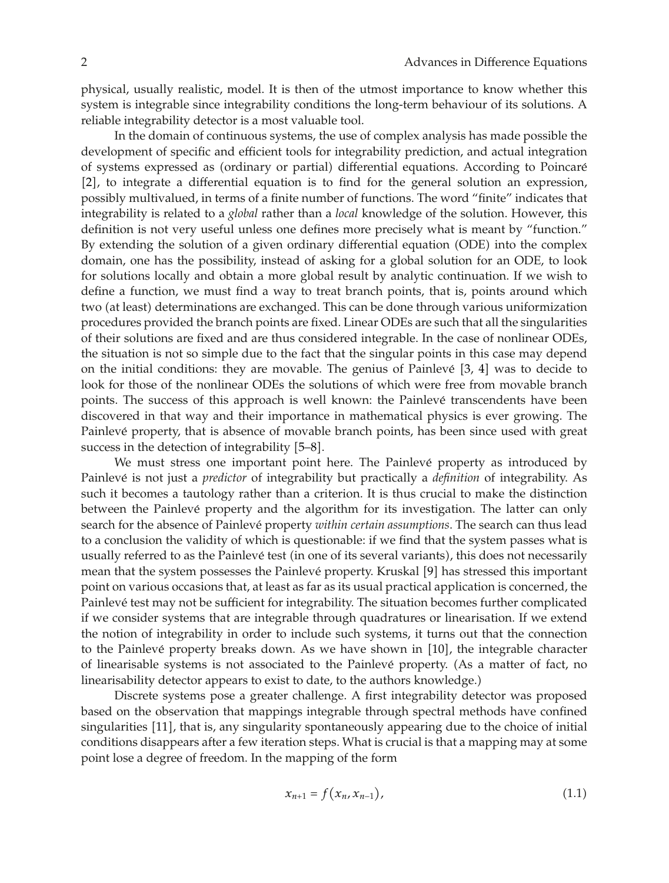physical, usually realistic, model. It is then of the utmost importance to know whether this system is integrable since integrability conditions the long-term behaviour of its solutions. A reliable integrability detector is a most valuable tool.

In the domain of continuous systems, the use of complex analysis has made possible the development of specific and efficient tools for integrability prediction, and actual integration of systems expressed as (ordinary or partial) differential equations. According to Poincaré [2], to integrate a differential equation is to find for the general solution an expression, possibly multivalued, in terms of a finite number of functions. The word "finite" indicates that integrability is related to a *global* rather than a *local* knowledge of the solution. However, this definition is not very useful unless one defines more precisely what is meant by "function." By extending the solution of a given ordinary differential equation (ODE) into the complex domain, one has the possibility, instead of asking for a global solution for an ODE, to look for solutions locally and obtain a more global result by analytic continuation. If we wish to define a function, we must find a way to treat branch points, that is, points around which two (at least) determinations are exchanged. This can be done through various uniformization procedures provided the branch points are fixed. Linear ODEs are such that all the singularities of their solutions are fixed and are thus considered integrable. In the case of nonlinear ODEs, the situation is not so simple due to the fact that the singular points in this case may depend on the initial conditions: they are movable. The genius of Painlevé  $[3, 4]$  was to decide to look for those of the nonlinear ODEs the solutions of which were free from movable branch points. The success of this approach is well known: the Painlevé transcendents have been discovered in that way and their importance in mathematical physics is ever growing. The Painlevé property, that is absence of movable branch points, has been since used with great success in the detection of integrability [5–8].

We must stress one important point here. The Painlevé property as introduced by Painlevé is not just a *predictor* of integrability but practically a *definition* of integrability. As such it becomes a tautology rather than a criterion. It is thus crucial to make the distinction between the Painlevé property and the algorithm for its investigation. The latter can only search for the absence of Painlevé property *within certain assumptions*. The search can thus lead to a conclusion the validity of which is questionable: if we find that the system passes what is usually referred to as the Painlevé test (in one of its several variants), this does not necessarily mean that the system possesses the Painlevé property. Kruskal [9] has stressed this important point on various occasions that, at least as far as its usual practical application is concerned, the Painlevé test may not be sufficient for integrability. The situation becomes further complicated if we consider systems that are integrable through quadratures or linearisation. If we extend the notion of integrability in order to include such systems, it turns out that the connection to the Painlevé property breaks down. As we have shown in [10], the integrable character of linearisable systems is not associated to the Painlevé property. (As a matter of fact, no linearisability detector appears to exist to date, to the authors knowledge.

Discrete systems pose a greater challenge. A first integrability detector was proposed based on the observation that mappings integrable through spectral methods have confined singularities [11], that is, any singularity spontaneously appearing due to the choice of initial conditions disappears after a few iteration steps. What is crucial is that a mapping may at some point lose a degree of freedom. In the mapping of the form

$$
x_{n+1} = f(x_n, x_{n-1}), \tag{1.1}
$$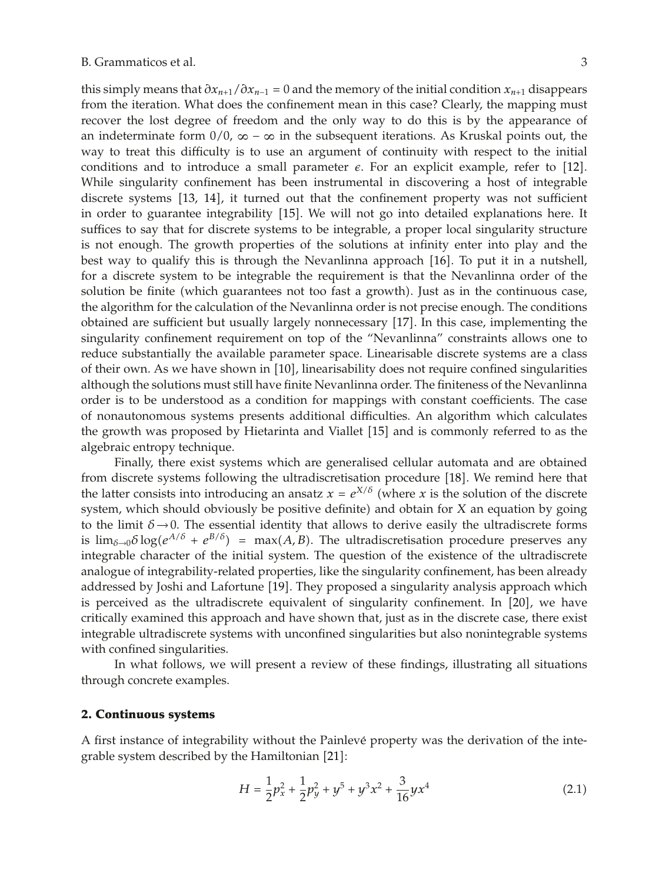this simply means that  $\frac{\partial x_{n+1}}{\partial x_{n-1}} = 0$  and the memory of the initial condition  $x_{n+1}$  disappears from the iteration. What does the confinement mean in this case? Clearly, the mapping must recover the lost degree of freedom and the only way to do this is by the appearance of an indeterminate form 0*/*0, ∞−∞ in the subsequent iterations. As Kruskal points out, the way to treat this difficulty is to use an argument of continuity with respect to the initial conditions and to introduce a small parameter  $\epsilon$ . For an explicit example, refer to [12]. While singularity confinement has been instrumental in discovering a host of integrable discrete systems [13, 14], it turned out that the confinement property was not sufficient in order to guarantee integrability [15]. We will not go into detailed explanations here. It suffices to say that for discrete systems to be integrable, a proper local singularity structure is not enough. The growth properties of the solutions at infinity enter into play and the best way to qualify this is through the Nevanlinna approach  $[16]$ . To put it in a nutshell, for a discrete system to be integrable the requirement is that the Nevanlinna order of the solution be finite (which guarantees not too fast a growth). Just as in the continuous case, the algorithm for the calculation of the Nevanlinna order is not precise enough. The conditions obtained are sufficient but usually largely nonnecessary [17]. In this case, implementing the singularity confinement requirement on top of the "Nevanlinna" constraints allows one to reduce substantially the available parameter space. Linearisable discrete systems are a class of their own. As we have shown in [10], linearisability does not require confined singularities although the solutions must still have finite Nevanlinna order. The finiteness of the Nevanlinna order is to be understood as a condition for mappings with constant coefficients. The case of nonautonomous systems presents additional difficulties. An algorithm which calculates the growth was proposed by Hietarinta and Viallet [15] and is commonly referred to as the algebraic entropy technique.

Finally, there exist systems which are generalised cellular automata and are obtained from discrete systems following the ultradiscretisation procedure [18]. We remind here that the latter consists into introducing an ansatz  $x = e^{X/\delta}$  (where *x* is the solution of the discrete system, which should obviously be positive definite) and obtain for *X* an equation by going to the limit  $\delta \rightarrow 0$ . The essential identity that allows to derive easily the ultradiscrete forms is  $\lim_{\delta \to 0} \delta \log(e^{A/\delta} + e^{B/\delta}) = \max(A, B)$ . The ultradiscretisation procedure preserves any integrable character of the initial system. The question of the existence of the ultradiscrete analogue of integrability-related properties, like the singularity confinement, has been already addressed by Joshi and Lafortune [19]. They proposed a singularity analysis approach which is perceived as the ultradiscrete equivalent of singularity confinement. In [20], we have critically examined this approach and have shown that, just as in the discrete case, there exist integrable ultradiscrete systems with unconfined singularities but also nonintegrable systems with confined singularities.

In what follows, we will present a review of these findings, illustrating all situations through concrete examples.

# **2. Continuous systems**

A first instance of integrability without the Painlevé property was the derivation of the integrable system described by the Hamiltonian [21]:

$$
H = \frac{1}{2}p_x^2 + \frac{1}{2}p_y^2 + y^5 + y^3x^2 + \frac{3}{16}yx^4
$$
 (2.1)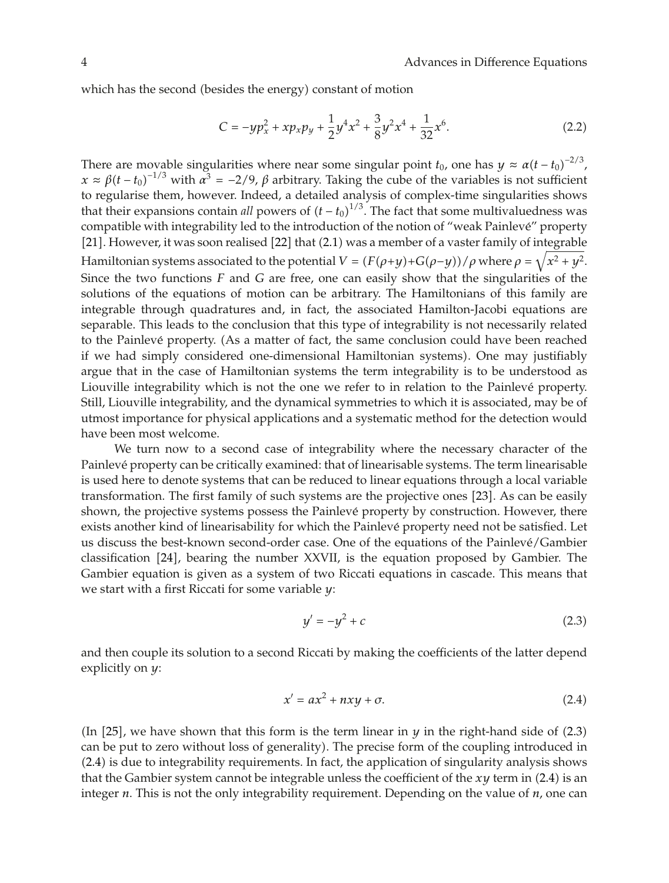which has the second (besides the energy) constant of motion

$$
C = -yp_x^2 + xp_x p_y + \frac{1}{2}y^4 x^2 + \frac{3}{8}y^2 x^4 + \frac{1}{32}x^6.
$$
 (2.2)

There are movable singularities where near some singular point  $t_0$ , one has  $y \approx \alpha (t - t_0)^{-2/3}$ ,  $x \approx \beta(t - t_0)^{-1/3}$  with  $\alpha^3 = -2/9$ ,  $\beta$  arbitrary. Taking the cube of the variables is not sufficient to regularise them, however. Indeed, a detailed analysis of complex-time singularities shows that their expansions contain *all* powers of  $(t - t_0)^{1/3}$ . The fact that some multivaluedness was compatible with integrability led to the introduction of the notion of "weak Painlevé" property [21]. However, it was soon realised [22] that (2.1) was a member of a vaster family of integrable Hamiltonian systems associated to the potential  $V = (F(\rho+y)+G(\rho-y))/\rho$  where  $\rho = \sqrt{x^2+y^2}$ . Since the two functions *F* and *G* are free, one can easily show that the singularities of the solutions of the equations of motion can be arbitrary. The Hamiltonians of this family are integrable through quadratures and, in fact, the associated Hamilton-Jacobi equations are separable. This leads to the conclusion that this type of integrability is not necessarily related to the Painlevé property. (As a matter of fact, the same conclusion could have been reached if we had simply considered one-dimensional Hamiltonian systems. One may justifiably argue that in the case of Hamiltonian systems the term integrability is to be understood as Liouville integrability which is not the one we refer to in relation to the Painlevé property. Still, Liouville integrability, and the dynamical symmetries to which it is associated, may be of utmost importance for physical applications and a systematic method for the detection would have been most welcome.

We turn now to a second case of integrability where the necessary character of the Painleve property can be critically examined: that of linearisable systems. The term linearisable ´ is used here to denote systems that can be reduced to linear equations through a local variable transformation. The first family of such systems are the projective ones [23]. As can be easily shown, the projective systems possess the Painlevé property by construction. However, there exists another kind of linearisability for which the Painlevé property need not be satisfied. Let us discuss the best-known second-order case. One of the equations of the Painleve/Gambier ´ classification 24, bearing the number XXVII, is the equation proposed by Gambier. The Gambier equation is given as a system of two Riccati equations in cascade. This means that we start with a first Riccati for some variable *y*:

$$
y' = -y^2 + c \t\t(2.3)
$$

and then couple its solution to a second Riccati by making the coefficients of the latter depend explicitly on *y*:

$$
x' = ax^2 + nxy + \sigma. \tag{2.4}
$$

(In [25], we have shown that this form is the term linear in  $\gamma$  in the right-hand side of (2.3) can be put to zero without loss of generality). The precise form of the coupling introduced in 2.4 is due to integrability requirements. In fact, the application of singularity analysis shows that the Gambier system cannot be integrable unless the coefficient of the  $xy$  term in  $(2.4)$  is an integer *n*. This is not the only integrability requirement. Depending on the value of *n*, one can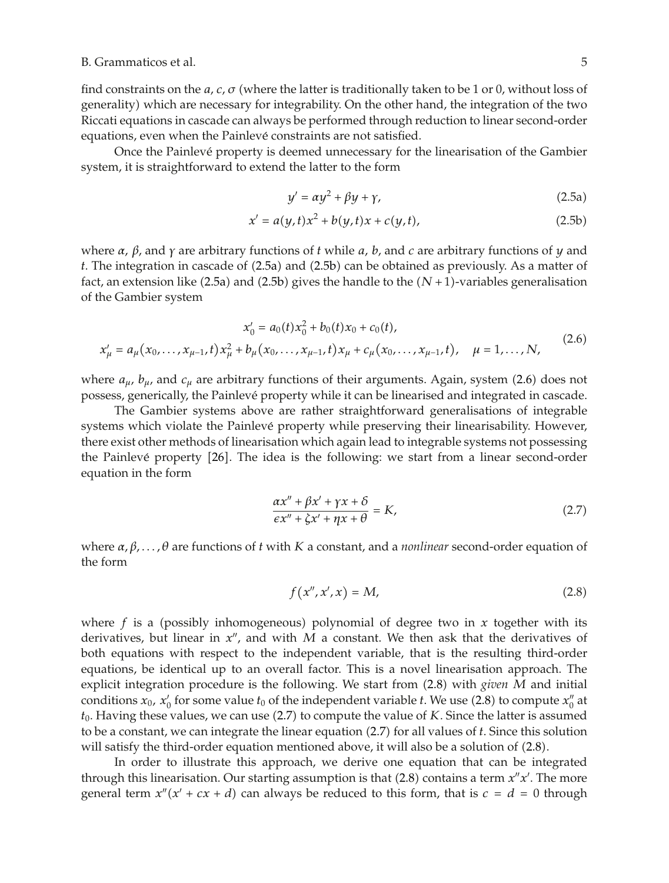#### B. Grammaticos et al. 5

find constraints on the *a*, *c*,  $\sigma$  (where the latter is traditionally taken to be 1 or 0, without loss of generality which are necessary for integrability. On the other hand, the integration of the two Riccati equations in cascade can always be performed through reduction to linear second-order equations, even when the Painlevé constraints are not satisfied.

Once the Painlevé property is deemed unnecessary for the linearisation of the Gambier system, it is straightforward to extend the latter to the form

$$
y' = \alpha y^2 + \beta y + \gamma,\tag{2.5a}
$$

$$
x' = a(y, t)x^{2} + b(y, t)x + c(y, t),
$$
\n(2.5b)

where *α, β*, and *γ* are arbitrary functions of *t* while *a, b*, and *c* are arbitrary functions of *y* and *t*. The integration in cascade of (2.5a) and (2.5b) can be obtained as previously. As a matter of fact, an extension like  $(2.5a)$  and  $(2.5b)$  gives the handle to the  $(N + 1)$ -variables generalisation of the Gambier system

$$
x'_{0} = a_{0}(t)x_{0}^{2} + b_{0}(t)x_{0} + c_{0}(t),
$$
  
\n
$$
x'_{\mu} = a_{\mu}(x_{0},...,x_{\mu-1},t)x_{\mu}^{2} + b_{\mu}(x_{0},...,x_{\mu-1},t)x_{\mu} + c_{\mu}(x_{0},...,x_{\mu-1},t), \quad \mu = 1,...,N,
$$
\n(2.6)

where  $a_{\mu}$ ,  $b_{\mu}$ , and  $c_{\mu}$  are arbitrary functions of their arguments. Again, system (2.6) does not possess, generically, the Painleve property while it can be linearised and integrated in cascade. ´

The Gambier systems above are rather straightforward generalisations of integrable systems which violate the Painlevé property while preserving their linearisability. However, there exist other methods of linearisation which again lead to integrable systems not possessing the Painlevé property [26]. The idea is the following: we start from a linear second-order equation in the form

$$
\frac{\alpha x'' + \beta x' + \gamma x + \delta}{\epsilon x'' + \zeta x' + \eta x + \theta} = K,
$$
\n(2.7)

where *α, β, . . . , θ* are functions of *t* with *K* a constant, and a *nonlinear* second-order equation of the form

$$
f(x'', x', x) = M,\tag{2.8}
$$

where  $f$  is a (possibly inhomogeneous) polynomial of degree two in  $x$  together with its derivatives, but linear in  $x''$ , and with  $M$  a constant. We then ask that the derivatives of both equations with respect to the independent variable, that is the resulting third-order equations, be identical up to an overall factor. This is a novel linearisation approach. The explicit integration procedure is the following. We start from 2.8 with *given M* and initial conditions  $x_0$ ,  $x'_0$  for some value  $t_0$  of the independent variable *t*. We use (2.8) to compute  $x''_0$  at *t*<sub>0</sub>. Having these values, we can use (2.7) to compute the value of *K*. Since the latter is assumed to be a constant, we can integrate the linear equation 2.7 for all values of *t*. Since this solution will satisfy the third-order equation mentioned above, it will also be a solution of  $(2.8)$ .

In order to illustrate this approach, we derive one equation that can be integrated through this linearisation. Our starting assumption is that (2.8) contains a term  $x''x'$ . The more general term  $x''(x' + cx + d)$  can always be reduced to this form, that is  $c = d = 0$  through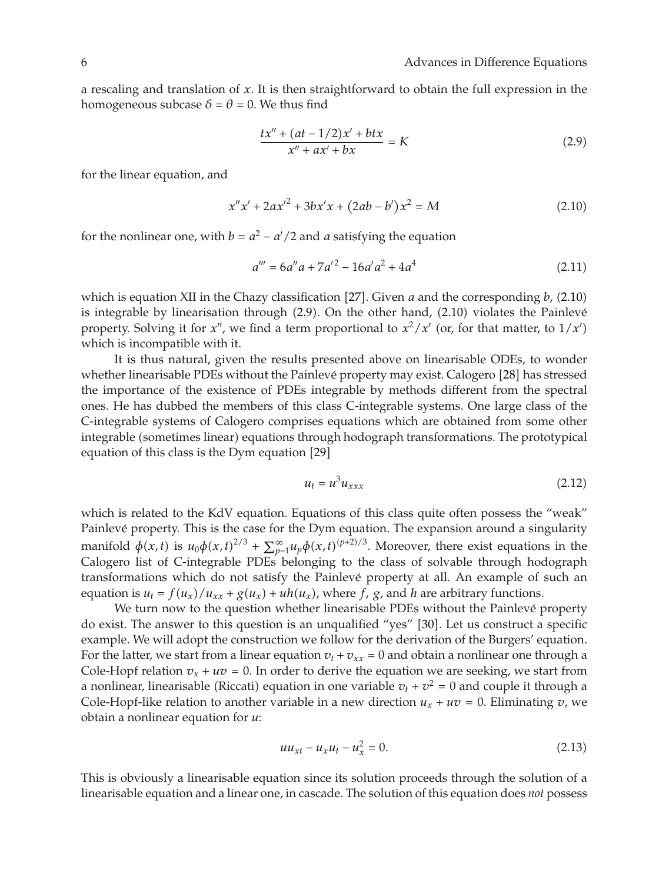a rescaling and translation of *x*. It is then straightforward to obtain the full expression in the homogeneous subcase  $\delta = \theta = 0$ . We thus find

$$
\frac{tx'' + (at - 1/2)x' + btx}{x'' + ax' + bx} = K
$$
\n(2.9)

for the linear equation, and

$$
x''x' + 2ax'^2 + 3bx'x + (2ab - b')x^2 = M
$$
\n(2.10)

for the nonlinear one, with  $b = a^2 - a'/2$  and *a* satisfying the equation

$$
a''' = 6a''a + 7a'^2 - 16a'a^2 + 4a^4 \tag{2.11}
$$

which is equation XII in the Chazy classification [27]. Given  $a$  and the corresponding  $b$ , (2.10) is integrable by linearisation through  $(2.9)$ . On the other hand,  $(2.10)$  violates the Painlevé property. Solving it for  $x''$ , we find a term proportional to  $x^2/x'$  (or, for that matter, to  $1/x'$ ) which is incompatible with it.

It is thus natural, given the results presented above on linearisable ODEs, to wonder whether linearisable PDEs without the Painlevé property may exist. Calogero [28] has stressed the importance of the existence of PDEs integrable by methods different from the spectral ones. He has dubbed the members of this class C-integrable systems. One large class of the C-integrable systems of Calogero comprises equations which are obtained from some other integrable (sometimes linear) equations through hodograph transformations. The prototypical equation of this class is the Dym equation 29

$$
u_t = u^3 u_{xxx} \tag{2.12}
$$

which is related to the KdV equation. Equations of this class quite often possess the "weak" Painlevé property. This is the case for the Dym equation. The expansion around a singularity manifold  $\phi(x,t)$  is  $u_0\phi(x,t)^{2/3} + \sum_{p=1}^{\infty}u_p\phi(x,t)^{(p+2)/3}$ . Moreover, there exist equations in the Calogero list of C-integrable PDEs belonging to the class of solvable through hodograph transformations which do not satisfy the Painlevé property at all. An example of such an equation is  $u_t = f(u_x)/u_{xx} + g(u_x) + uh(u_x)$ , where *f*, *g*, and *h* are arbitrary functions.

We turn now to the question whether linearisable PDEs without the Painlevé property do exist. The answer to this question is an unqualified "yes" [30]. Let us construct a specific example. We will adopt the construction we follow for the derivation of the Burgers' equation. For the latter, we start from a linear equation  $v_t + v_{xx} = 0$  and obtain a nonlinear one through a Cole-Hopf relation  $v_x + uv = 0$ . In order to derive the equation we are seeking, we start from a nonlinear, linearisable (Riccati) equation in one variable  $v_t + v^2 = 0$  and couple it through a Cole-Hopf-like relation to another variable in a new direction  $u_x + uv = 0$ . Eliminating *v*, we obtain a nonlinear equation for *u*:

$$
uu_{xt} - u_x u_t - u_x^2 = 0.
$$
 (2.13)

This is obviously a linearisable equation since its solution proceeds through the solution of a linearisable equation and a linear one, in cascade. The solution of this equation does *not* possess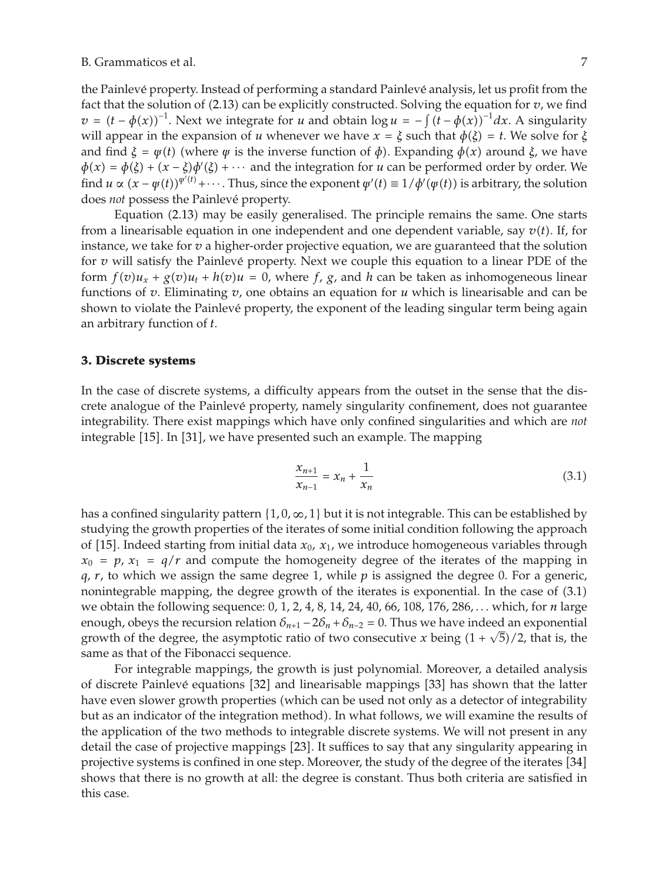the Painlevé property. Instead of performing a standard Painlevé analysis, let us profit from the fact that the solution of  $(2.13)$  can be explicitly constructed. Solving the equation for  $v$ , we find  $v = (t - \phi(x))^{-1}$ . Next we integrate for *u* and obtain  $\log u = -\int (t - \phi(x))^{-1} dx$ . A singularity will appear in the expansion of *u* whenever we have  $x = \xi$  such that  $\phi(\xi) = t$ . We solve for  $\xi$ and find  $\xi = \psi(t)$  (where  $\psi$  is the inverse function of  $\phi$ ). Expanding  $\phi(x)$  around  $\xi$ , we have  $\phi(x) = \phi(\xi) + (x - \xi)\phi'(\xi) + \cdots$  and the integration for *u* can be performed order by order. We find  $u \propto (x - \psi(t))^{q^{t}(t)} + \cdots$ . Thus, since the exponent  $\psi'(t) \equiv 1/\phi'(\psi(t))$  is arbitrary, the solution does *not* possess the Painlevé property.

Equation (2.13) may be easily generalised. The principle remains the same. One starts from a linearisable equation in one independent and one dependent variable, say  $v(t)$ . If, for instance, we take for *v* a higher-order projective equation, we are guaranteed that the solution for *v* will satisfy the Painlevé property. Next we couple this equation to a linear PDE of the form  $f(v)u_x + g(v)u_t + h(v)u = 0$ , where f, g, and h can be taken as inhomogeneous linear functions of *v*. Eliminating *v*, one obtains an equation for *u* which is linearisable and can be shown to violate the Painlevé property, the exponent of the leading singular term being again an arbitrary function of *t*.

# **3. Discrete systems**

In the case of discrete systems, a difficulty appears from the outset in the sense that the discrete analogue of the Painlevé property, namely singularity confinement, does not guarantee integrability. There exist mappings which have only confined singularities and which are *not* integrable  $[15]$ . In  $[31]$ , we have presented such an example. The mapping

$$
\frac{x_{n+1}}{x_{n-1}} = x_n + \frac{1}{x_n} \tag{3.1}
$$

has a confined singularity pattern {1*,* 0*,* ∞*,* 1} but it is not integrable. This can be established by studying the growth properties of the iterates of some initial condition following the approach of [15]. Indeed starting from initial data  $x_0$ ,  $x_1$ , we introduce homogeneous variables through  $x_0 = p$ ,  $x_1 = q/r$  and compute the homogeneity degree of the iterates of the mapping in *q, r*, to which we assign the same degree 1, while *p* is assigned the degree 0. For a generic, nonintegrable mapping, the degree growth of the iterates is exponential. In the case of (3.1) we obtain the following sequence: 0, 1, 2, 4, 8, 14, 24, 40, 66, 108, 176, 286*,...* which, for *n* large enough, obeys the recursion relation  $\delta_{n+1}$  –  $2\delta_n$  +  $\delta_{n-2}$  = 0. Thus we have indeed an exponential growth of the degree, the asymptotic ratio of two consecutive *x* being  $(1 + \sqrt{5})/2$ , that is, the same as that of the Fibonacci sequence.

For integrable mappings, the growth is just polynomial. Moreover, a detailed analysis of discrete Painlevé equations [32] and linearisable mappings [33] has shown that the latter have even slower growth properties (which can be used not only as a detector of integrability but as an indicator of the integration method). In what follows, we will examine the results of the application of the two methods to integrable discrete systems. We will not present in any detail the case of projective mappings [23]. It suffices to say that any singularity appearing in projective systems is confined in one step. Moreover, the study of the degree of the iterates [34] shows that there is no growth at all: the degree is constant. Thus both criteria are satisfied in this case.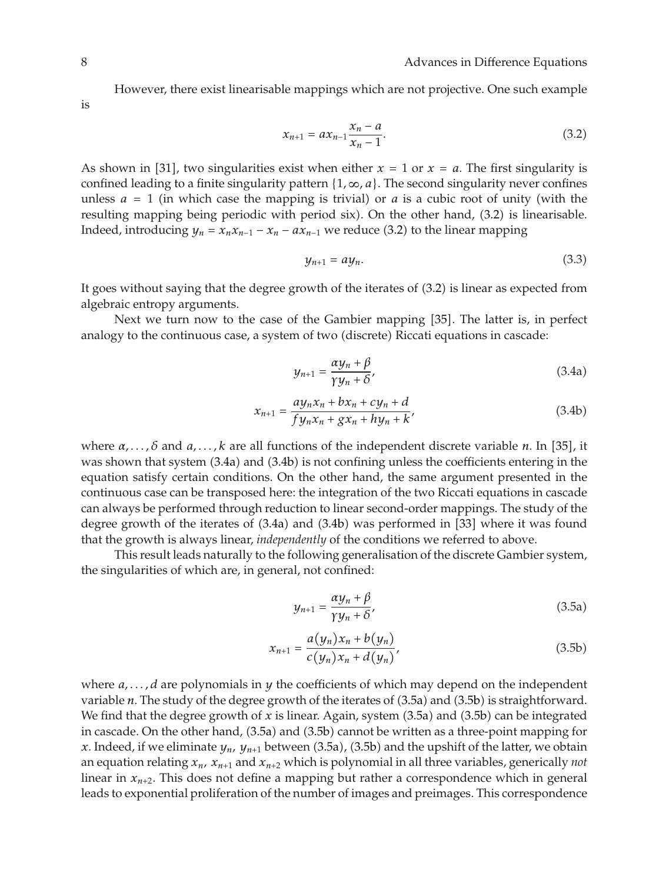However, there exist linearisable mappings which are not projective. One such example

$$
x_{n+1} = a x_{n-1} \frac{x_n - a}{x_n - 1}.
$$
\n(3.2)

As shown in [31], two singularities exist when either  $x = 1$  or  $x = a$ . The first singularity is confined leading to a finite singularity pattern  $\{1, \infty, a\}$ . The second singularity never confines unless  $a = 1$  (in which case the mapping is trivial) or  $a$  is a cubic root of unity (with the resulting mapping being periodic with period six). On the other hand, (3.2) is linearisable. Indeed, introducing  $y_n = x_n x_{n-1} - x_n - ax_{n-1}$  we reduce (3.2) to the linear mapping

$$
y_{n+1} = ay_n. \tag{3.3}
$$

It goes without saying that the degree growth of the iterates of  $(3.2)$  is linear as expected from algebraic entropy arguments.

Next we turn now to the case of the Gambier mapping [35]. The latter is, in perfect analogy to the continuous case, a system of two (discrete) Riccati equations in cascade:

$$
y_{n+1} = \frac{\alpha y_n + \beta}{\gamma y_n + \delta},
$$
\n(3.4a)

$$
x_{n+1} = \frac{ay_n x_n + bx_n + cy_n + d}{fy_n x_n + gx_n + hy_n + k'},
$$
 (3.4b)

where *α, . . . , δ* and *a, . . . , k* are all functions of the independent discrete variable *n*. In 35, it was shown that system  $(3.4a)$  and  $(3.4b)$  is not confining unless the coefficients entering in the equation satisfy certain conditions. On the other hand, the same argument presented in the continuous case can be transposed here: the integration of the two Riccati equations in cascade can always be performed through reduction to linear second-order mappings. The study of the degree growth of the iterates of (3.4a) and (3.4b) was performed in [33] where it was found that the growth is always linear, *independently* of the conditions we referred to above.

This result leads naturally to the following generalisation of the discrete Gambier system, the singularities of which are, in general, not confined:

$$
y_{n+1} = \frac{\alpha y_n + \beta}{\gamma y_n + \delta'},\tag{3.5a}
$$

$$
x_{n+1} = \frac{a(y_n)x_n + b(y_n)}{c(y_n)x_n + d(y_n)},
$$
\n(3.5b)

where *a, . . . , d* are polynomials in *y* the coefficients of which may depend on the independent variable *n*. The study of the degree growth of the iterates of (3.5a) and (3.5b) is straightforward. We find that the degree growth of *x* is linear. Again, system (3.5a) and (3.5b) can be integrated in cascade. On the other hand, (3.5a) and (3.5b) cannot be written as a three-point mapping for *x*. Indeed, if we eliminate  $y_n$ ,  $y_{n+1}$  between (3.5a), (3.5b) and the upshift of the latter, we obtain an equation relating  $x_n$ ,  $x_{n+1}$  and  $x_{n+2}$  which is polynomial in all three variables, generically *not* linear in  $x_{n+2}$ . This does not define a mapping but rather a correspondence which in general leads to exponential proliferation of the number of images and preimages. This correspondence

is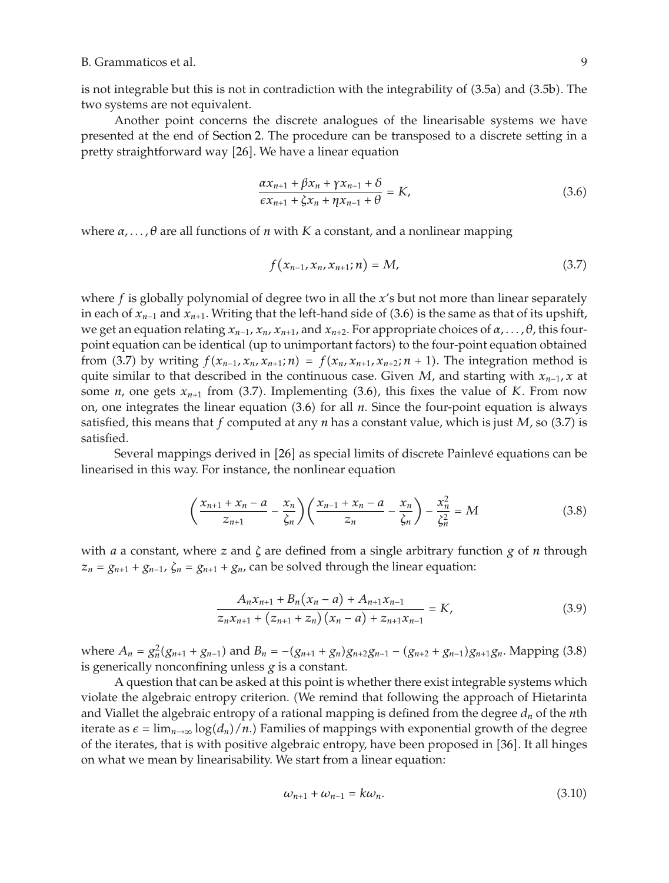is not integrable but this is not in contradiction with the integrability of  $(3.5a)$  and  $(3.5b)$ . The two systems are not equivalent.

Another point concerns the discrete analogues of the linearisable systems we have presented at the end of Section 2. The procedure can be transposed to a discrete setting in a pretty straightforward way [26]. We have a linear equation

$$
\frac{\alpha x_{n+1} + \beta x_n + \gamma x_{n-1} + \delta}{\epsilon x_{n+1} + \zeta x_n + \eta x_{n-1} + \theta} = K,
$$
\n(3.6)

where  $\alpha, \ldots, \theta$  are all functions of *n* with *K* a constant, and a nonlinear mapping

$$
f(x_{n-1}, x_n, x_{n+1}; n) = M,
$$
\n(3.7)

where *f* is globally polynomial of degree two in all the *x*'s but not more than linear separately in each of  $x_{n-1}$  and  $x_{n+1}$ . Writing that the left-hand side of (3.6) is the same as that of its upshift, we get an equation relating  $x_{n-1}$ ,  $x_n$ ,  $x_{n+1}$ , and  $x_{n+2}$ . For appropriate choices of  $α$ , . . . , θ, this fourpoint equation can be identical (up to unimportant factors) to the four-point equation obtained from (3.7) by writing  $f(x_{n-1}, x_n, x_{n+1}; n) = f(x_n, x_{n+1}, x_{n+2}; n+1)$ . The integration method is quite similar to that described in the continuous case. Given *M*, and starting with *xn*−<sup>1</sup>*, x* at some *n*, one gets  $x_{n+1}$  from (3.7). Implementing (3.6), this fixes the value of *K*. From now on, one integrates the linear equation  $(3.6)$  for all  $n$ . Since the four-point equation is always satisfied, this means that  $f$  computed at any  $n$  has a constant value, which is just  $M$ , so (3.7) is satisfied.

Several mappings derived in [26] as special limits of discrete Painlevé equations can be linearised in this way. For instance, the nonlinear equation

$$
\left(\frac{x_{n+1}+x_n-a}{z_{n+1}}-\frac{x_n}{\zeta_n}\right)\left(\frac{x_{n-1}+x_n-a}{z_n}-\frac{x_n}{\zeta_n}\right)-\frac{x_n^2}{\zeta_n^2}=M\tag{3.8}
$$

with *a* a constant, where *z* and *ζ* are defined from a single arbitrary function *g* of *n* through  $z_n = g_{n+1} + g_{n-1}$ ,  $\zeta_n = g_{n+1} + g_n$ , can be solved through the linear equation:

$$
\frac{A_n x_{n+1} + B_n (x_n - a) + A_{n+1} x_{n-1}}{z_n x_{n+1} + (z_{n+1} + z_n) (x_n - a) + z_{n+1} x_{n-1}} = K,
$$
\n(3.9)

where  $A_n = g_n^2(g_{n+1} + g_{n-1})$  and  $B_n = -(g_{n+1} + g_n)g_{n+2}g_{n-1} - (g_{n+2} + g_{n-1})g_{n+1}g_n$ . Mapping (3.8) is generically nonconfining unless *g* is a constant.

A question that can be asked at this point is whether there exist integrable systems which violate the algebraic entropy criterion. We remind that following the approach of Hietarinta and Viallet the algebraic entropy of a rational mapping is defined from the degree  $d_n$  of the *n*th iterate as  $\epsilon = \lim_{n\to\infty} \log(d_n)/n$ . Families of mappings with exponential growth of the degree of the iterates, that is with positive algebraic entropy, have been proposed in [36]. It all hinges on what we mean by linearisability. We start from a linear equation:

$$
\omega_{n+1} + \omega_{n-1} = k\omega_n. \tag{3.10}
$$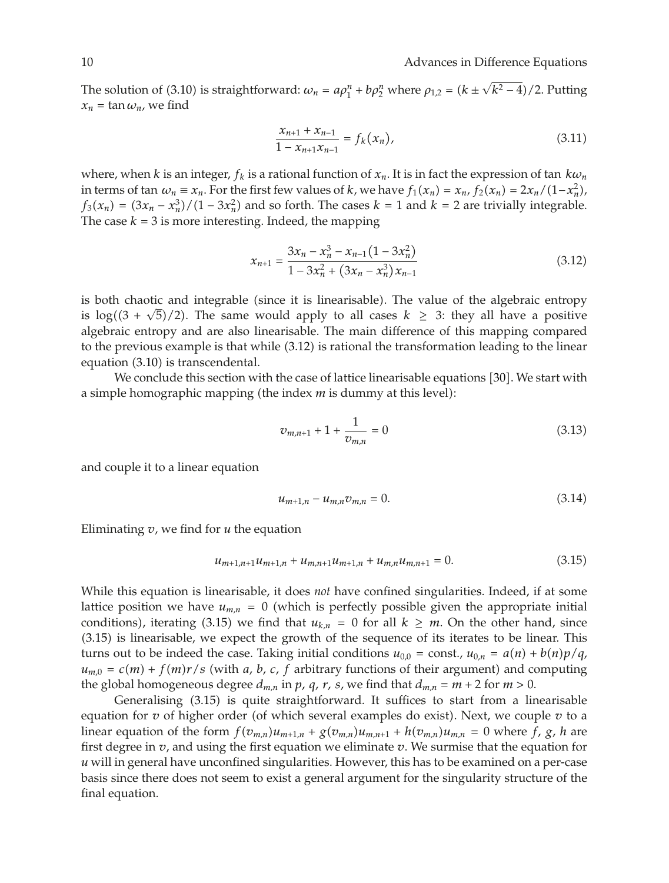The solution of (3.10) is straightforward:  $\omega_n = a\rho_1^n + b\rho_2^n$  where  $\rho_{1,2} = (k \pm \sqrt{k^2 - 4})/2$ . Putting  $x_n = \tan \omega_n$ , we find

$$
\frac{x_{n+1} + x_{n-1}}{1 - x_{n+1}x_{n-1}} = f_k(x_n),
$$
\n(3.11)

where, when *k* is an integer,  $f_k$  is a rational function of  $x_n$ . It is in fact the expression of tan  $kw_n$ in terms of tan  $\omega_n \equiv x_n$ . For the first few values of *k*, we have  $f_1(x_n) = x_n$ ,  $f_2(x_n) = 2x_n/(1-x_n^2)$ ,  $f_3(x_n) = (3x_n - x_n^3)/(1 - 3x_n^2)$  and so forth. The cases  $k = 1$  and  $k = 2$  are trivially integrable. The case  $k = 3$  is more interesting. Indeed, the mapping

$$
x_{n+1} = \frac{3x_n - x_n^3 - x_{n-1}(1 - 3x_n^2)}{1 - 3x_n^2 + (3x_n - x_n^3)x_{n-1}}
$$
(3.12)

is both chaotic and integrable (since it is linearisable). The value of the algebraic entropy is  $log((3 + \sqrt{5})/2)$ . The same would apply to all cases  $k \geq 3$ : they all have a positive algebraic entropy and are also linearisable. The main difference of this mapping compared to the previous example is that while (3.12) is rational the transformation leading to the linear equation (3.10) is transcendental.

We conclude this section with the case of lattice linearisable equations  $[30]$ . We start with a simple homographic mapping (the index *m* is dummy at this level):

$$
v_{m,n+1} + 1 + \frac{1}{v_{m,n}} = 0
$$
\n(3.13)

and couple it to a linear equation

$$
u_{m+1,n} - u_{m,n} v_{m,n} = 0.
$$
\n(3.14)

Eliminating *v*, we find for *u* the equation

$$
u_{m+1,n+1}u_{m+1,n} + u_{m,n+1}u_{m+1,n} + u_{m,n}u_{m,n+1} = 0.
$$
\n(3.15)

While this equation is linearisable, it does *not* have confined singularities. Indeed, if at some lattice position we have  $u_{m,n} = 0$  (which is perfectly possible given the appropriate initial conditions), iterating (3.15) we find that  $u_{k,n} = 0$  for all  $k \ge m$ . On the other hand, since 3.15 is linearisable, we expect the growth of the sequence of its iterates to be linear. This turns out to be indeed the case. Taking initial conditions  $u_{0,0} = \text{const.}$ ,  $u_{0,n} = a(n) + b(n)p/q$ ,  $u_{m,0} = c(m) + f(m)r/s$  (with *a, b, c, f* arbitrary functions of their argument) and computing the global homogeneous degree  $d_{m,n}$  in  $p$ ,  $q$ ,  $r$ ,  $s$ , we find that  $d_{m,n} = m + 2$  for  $m > 0$ .

Generalising (3.15) is quite straightforward. It suffices to start from a linearisable equation for  $v$  of higher order (of which several examples do exist). Next, we couple  $v$  to a linear equation of the form  $f(v_{m,n})u_{m+1,n} + g(v_{m,n})u_{m,n+1} + h(v_{m,n})u_{m,n} = 0$  where *f*, *g*, *h* are first degree in *v*, and using the first equation we eliminate *v*. We surmise that the equation for *u* will in general have unconfined singularities. However, this has to be examined on a per-case basis since there does not seem to exist a general argument for the singularity structure of the final equation.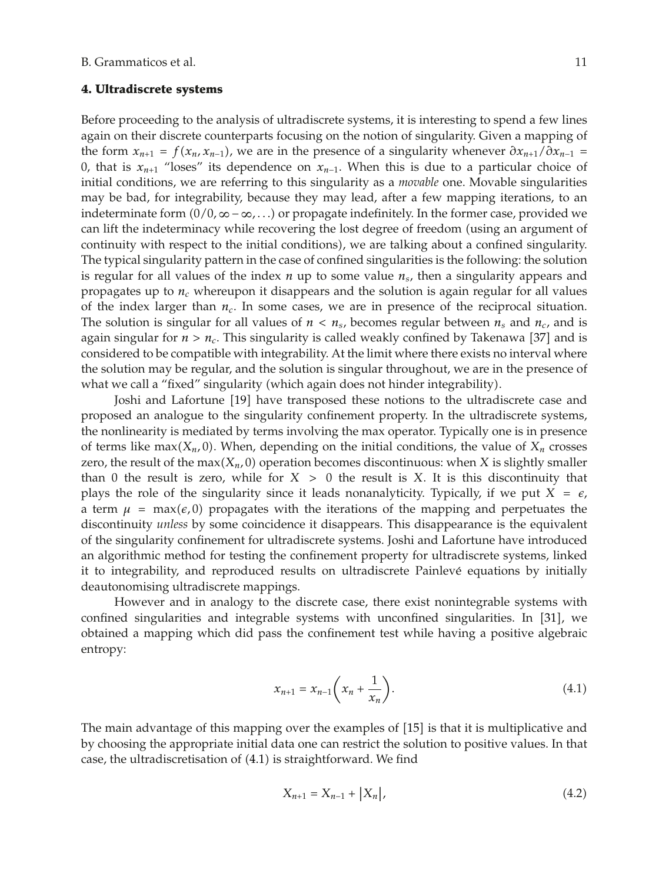#### **4. Ultradiscrete systems**

Before proceeding to the analysis of ultradiscrete systems, it is interesting to spend a few lines again on their discrete counterparts focusing on the notion of singularity. Given a mapping of the form  $x_{n+1} = f(x_n, x_{n-1})$ , we are in the presence of a singularity whenever  $\partial x_{n+1}/\partial x_{n-1} =$ 0, that is  $x_{n+1}$  "loses" its dependence on  $x_{n-1}$ . When this is due to a particular choice of initial conditions, we are referring to this singularity as a *movable* one. Movable singularities may be bad, for integrability, because they may lead, after a few mapping iterations, to an indeterminate form 0*/*0*,* ∞−∞*,...* or propagate indefinitely. In the former case, provided we can lift the indeterminacy while recovering the lost degree of freedom (using an argument of continuity with respect to the initial conditions), we are talking about a confined singularity. The typical singularity pattern in the case of confined singularities is the following: the solution is regular for all values of the index *n* up to some value *ns*, then a singularity appears and propagates up to *nc* whereupon it disappears and the solution is again regular for all values of the index larger than  $n_c$ . In some cases, we are in presence of the reciprocal situation. The solution is singular for all values of  $n < n_s$ , becomes regular between  $n_s$  and  $n_c$ , and is again singular for  $n > n_c$ . This singularity is called weakly confined by Takenawa [37] and is considered to be compatible with integrability. At the limit where there exists no interval where the solution may be regular, and the solution is singular throughout, we are in the presence of what we call a "fixed" singularity (which again does not hinder integrability).

Joshi and Lafortune [19] have transposed these notions to the ultradiscrete case and proposed an analogue to the singularity confinement property. In the ultradiscrete systems, the nonlinearity is mediated by terms involving the max operator. Typically one is in presence of terms like max $(X_n, 0)$ . When, depending on the initial conditions, the value of  $X_n$  crosses zero, the result of the max $(X_n, 0)$  operation becomes discontinuous: when *X* is slightly smaller than 0 the result is zero, while for  $X > 0$  the result is  $X$ . It is this discontinuity that plays the role of the singularity since it leads nonanalyticity. Typically, if we put  $X = \epsilon$ , a term  $\mu$  = max( $\epsilon$ ,0) propagates with the iterations of the mapping and perpetuates the discontinuity *unless* by some coincidence it disappears. This disappearance is the equivalent of the singularity confinement for ultradiscrete systems. Joshi and Lafortune have introduced an algorithmic method for testing the confinement property for ultradiscrete systems, linked it to integrability, and reproduced results on ultradiscrete Painlevé equations by initially deautonomising ultradiscrete mappings.

However and in analogy to the discrete case, there exist nonintegrable systems with confined singularities and integrable systems with unconfined singularities. In  $[31]$ , we obtained a mapping which did pass the confinement test while having a positive algebraic entropy:

$$
x_{n+1} = x_{n-1} \left( x_n + \frac{1}{x_n} \right). \tag{4.1}
$$

The main advantage of this mapping over the examples of [15] is that it is multiplicative and by choosing the appropriate initial data one can restrict the solution to positive values. In that case, the ultradiscretisation of  $(4.1)$  is straightforward. We find

$$
X_{n+1} = X_{n-1} + |X_n|,\t\t(4.2)
$$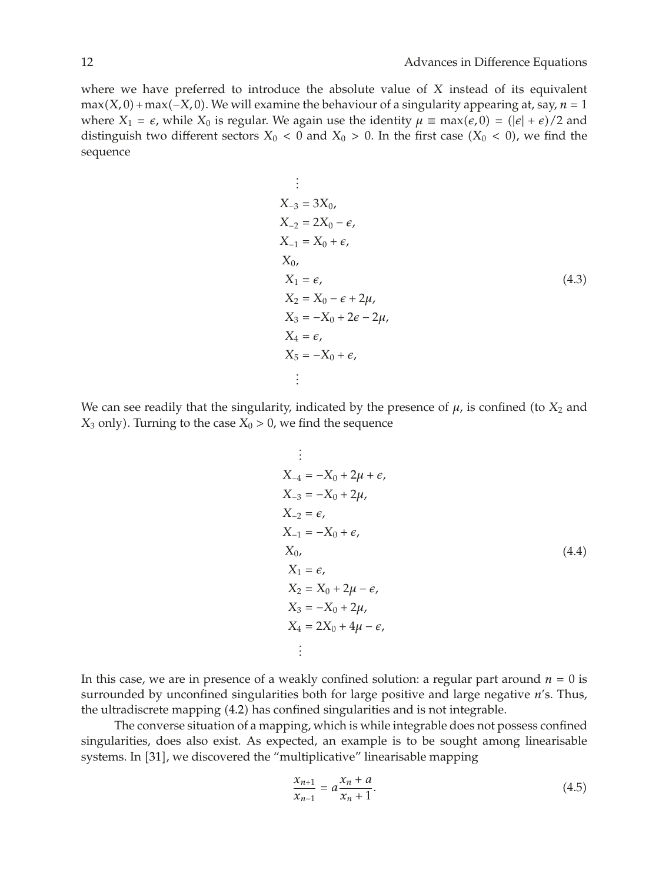where we have preferred to introduce the absolute value of *X* instead of its equivalent  $max(X, 0) + max(-X, 0)$ . We will examine the behaviour of a singularity appearing at, say, *n* = 1 where  $X_1 = \epsilon$ , while  $X_0$  is regular. We again use the identity  $\mu \equiv \max(\epsilon, 0) = (|\epsilon| + \epsilon)/2$  and distinguish two different sectors  $X_0 < 0$  and  $X_0 > 0$ . In the first case  $(X_0 < 0)$ , we find the sequence

$$
\vdots
$$
\n
$$
X_{-3} = 3X_{0},
$$
\n
$$
X_{-2} = 2X_{0} - \epsilon,
$$
\n
$$
X_{-1} = X_{0} + \epsilon,
$$
\n
$$
X_{0},
$$
\n
$$
X_{1} = \epsilon,
$$
\n
$$
X_{2} = X_{0} - \epsilon + 2\mu,
$$
\n
$$
X_{3} = -X_{0} + 2\epsilon - 2\mu,
$$
\n
$$
X_{4} = \epsilon,
$$
\n
$$
X_{5} = -X_{0} + \epsilon,
$$
\n
$$
\vdots
$$
\n(4.3)

We can see readily that the singularity, indicated by the presence of  $\mu$ , is confined (to  $X_2$  and  $X_3$  only). Turning to the case  $X_0 > 0$ , we find the sequence

$$
\begin{aligned}\n&\vdots\\ X_{-4} &= -X_0 + 2\mu + \epsilon, \\ X_{-3} &= -X_0 + 2\mu, \\ X_{-2} &= \epsilon, \\ X_{-1} &= -X_0 + \epsilon, \\ X_0, \\ X_1 &= \epsilon, \\ X_2 &= X_0 + 2\mu - \epsilon, \\ X_3 &= -X_0 + 2\mu, \\ X_4 &= 2X_0 + 4\mu - \epsilon, \\ &\vdots\n\end{aligned} \tag{4.4}
$$

In this case, we are in presence of a weakly confined solution: a regular part around  $n = 0$  is surrounded by unconfined singularities both for large positive and large negative *n*'s. Thus, the ultradiscrete mapping (4.2) has confined singularities and is not integrable.

The converse situation of a mapping, which is while integrable does not possess confined singularities, does also exist. As expected, an example is to be sought among linearisable systems. In [31], we discovered the "multiplicative" linearisable mapping

$$
\frac{x_{n+1}}{x_{n-1}} = a \frac{x_n + a}{x_n + 1}.
$$
\n(4.5)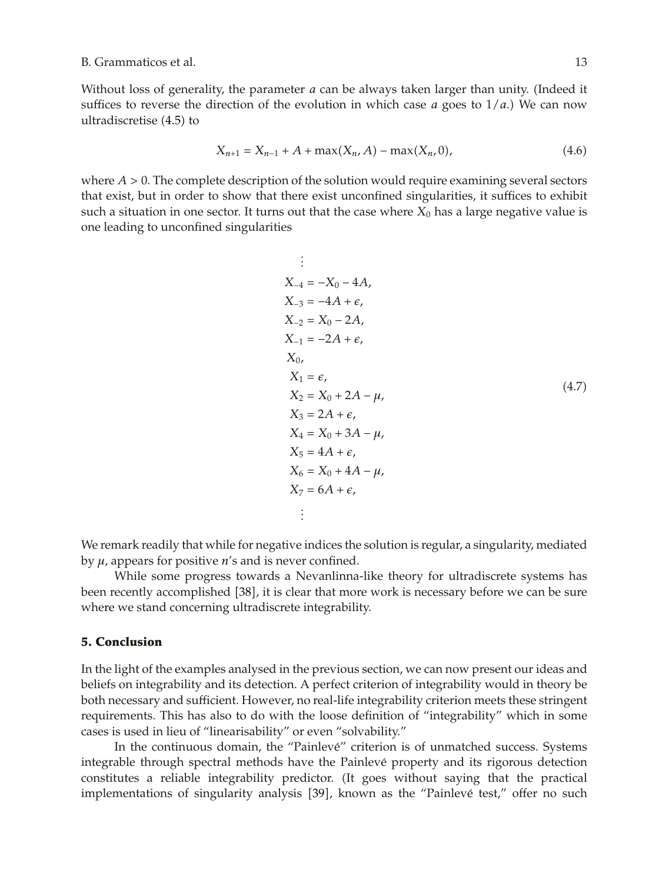Without loss of generality, the parameter *a* can be always taken larger than unity. (Indeed it suffices to reverse the direction of the evolution in which case  $a$  goes to  $1/a$ .) We can now ultradiscretise  $(4.5)$  to

$$
X_{n+1} = X_{n-1} + A + \max(X_n, A) - \max(X_n, 0),
$$
\n(4.6)

where  $A > 0$ . The complete description of the solution would require examining several sectors that exist, but in order to show that there exist unconfined singularities, it suffices to exhibit such a situation in one sector. It turns out that the case where  $X_0$  has a large negative value is one leading to unconfined singularities

$$
\begin{aligned}\n\vdots \\
X_{-4} &= -X_0 - 4A, \\
X_{-3} &= -4A + \epsilon, \\
X_{-2} &= X_0 - 2A, \\
X_{-1} &= -2A + \epsilon, \\
X_0, \\
X_1 &= \epsilon, \\
X_2 &= X_0 + 2A - \mu, \\
X_3 &= 2A + \epsilon, \\
X_4 &= X_0 + 3A - \mu, \\
X_5 &= 4A + \epsilon, \\
X_6 &= X_0 + 4A - \mu, \\
X_7 &= 6A + \epsilon, \\
\vdots\n\end{aligned}
$$
\n(4.7)

We remark readily that while for negative indices the solution is regular, a singularity, mediated by *μ*, appears for positive *n*'s and is never confined.

While some progress towards a Nevanlinna-like theory for ultradiscrete systems has been recently accomplished [38], it is clear that more work is necessary before we can be sure where we stand concerning ultradiscrete integrability.

# **5. Conclusion**

In the light of the examples analysed in the previous section, we can now present our ideas and beliefs on integrability and its detection. A perfect criterion of integrability would in theory be both necessary and sufficient. However, no real-life integrability criterion meets these stringent requirements. This has also to do with the loose definition of "integrability" which in some cases is used in lieu of "linearisability" or even "solvability."

In the continuous domain, the "Painlevé" criterion is of unmatched success. Systems integrable through spectral methods have the Painlevé property and its rigorous detection constitutes a reliable integrability predictor. It goes without saying that the practical implementations of singularity analysis [39], known as the "Painlevé test," offer no such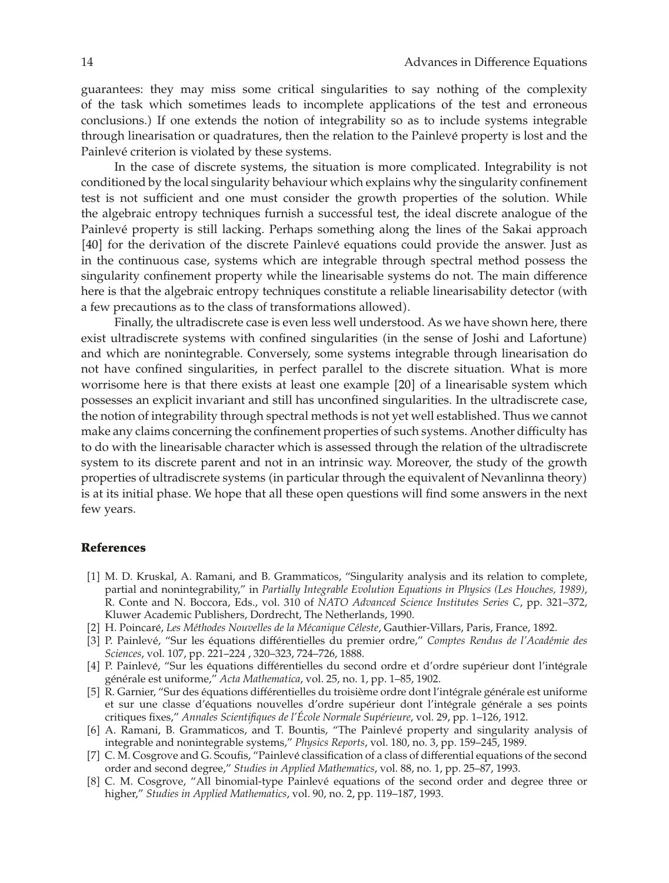guarantees: they may miss some critical singularities to say nothing of the complexity of the task which sometimes leads to incomplete applications of the test and erroneous conclusions.) If one extends the notion of integrability so as to include systems integrable through linearisation or quadratures, then the relation to the Painlevé property is lost and the Painlevé criterion is violated by these systems.

In the case of discrete systems, the situation is more complicated. Integrability is not conditioned by the local singularity behaviour which explains why the singularity confinement test is not sufficient and one must consider the growth properties of the solution. While the algebraic entropy techniques furnish a successful test, the ideal discrete analogue of the Painlevé property is still lacking. Perhaps something along the lines of the Sakai approach [40] for the derivation of the discrete Painlevé equations could provide the answer. Just as in the continuous case, systems which are integrable through spectral method possess the singularity confinement property while the linearisable systems do not. The main difference here is that the algebraic entropy techniques constitute a reliable linearisability detector with a few precautions as to the class of transformations allowed.

Finally, the ultradiscrete case is even less well understood. As we have shown here, there exist ultradiscrete systems with confined singularities (in the sense of Joshi and Lafortune) and which are nonintegrable. Conversely, some systems integrable through linearisation do not have confined singularities, in perfect parallel to the discrete situation. What is more worrisome here is that there exists at least one example [20] of a linearisable system which possesses an explicit invariant and still has unconfined singularities. In the ultradiscrete case, the notion of integrability through spectral methods is not yet well established. Thus we cannot make any claims concerning the confinement properties of such systems. Another difficulty has to do with the linearisable character which is assessed through the relation of the ultradiscrete system to its discrete parent and not in an intrinsic way. Moreover, the study of the growth properties of ultradiscrete systems (in particular through the equivalent of Nevanlinna theory) is at its initial phase. We hope that all these open questions will find some answers in the next few years.

#### **References**

- [1] M. D. Kruskal, A. Ramani, and B. Grammaticos, "Singularity analysis and its relation to complete, partial and nonintegrability," in *Partially Integrable Evolution Equations in Physics (Les Houches, 1989)*, R. Conte and N. Boccora, Eds., vol. 310 of *NATO Advanced Science Institutes Series C*, pp. 321–372, Kluwer Academic Publishers, Dordrecht, The Netherlands, 1990.
- 2 H. Poincare,´ *Les Methodes Nouvelles de la M ´ ecanique C ´ eleste ´* , Gauthier-Villars, Paris, France, 1892.
- [3] P. Painlevé, "Sur les équations différentielles du premier ordre," Comptes Rendus de l'Académie des *Sciences*, vol. 107, pp. 221–224 , 320–323, 724–726, 1888.
- [4] P. Painlevé, "Sur les équations différentielles du second ordre et d'ordre supérieur dont l'intégrale générale est uniforme," Acta Mathematica, vol. 25, no. 1, pp. 1–85, 1902.
- [5] R. Garnier, "Sur des équations différentielles du troisième ordre dont l'intégrale générale est uniforme et sur une classe d'équations nouvelles d'ordre supérieur dont l'intégrale générale a ses points critiques fixes," Annales Scientifiques de l'École Normale Supérieure, vol. 29, pp. 1–126, 1912.
- [6] A. Ramani, B. Grammaticos, and T. Bountis, "The Painlevé property and singularity analysis of integrable and nonintegrable systems," *Physics Reports*, vol. 180, no. 3, pp. 159–245, 1989.
- [7] C. M. Cosgrove and G. Scoufis, "Painlevé classification of a class of differential equations of the second order and second degree," *Studies in Applied Mathematics*, vol. 88, no. 1, pp. 25–87, 1993.
- [8] C. M. Cosgrove, "All binomial-type Painlevé equations of the second order and degree three or higher," *Studies in Applied Mathematics*, vol. 90, no. 2, pp. 119–187, 1993.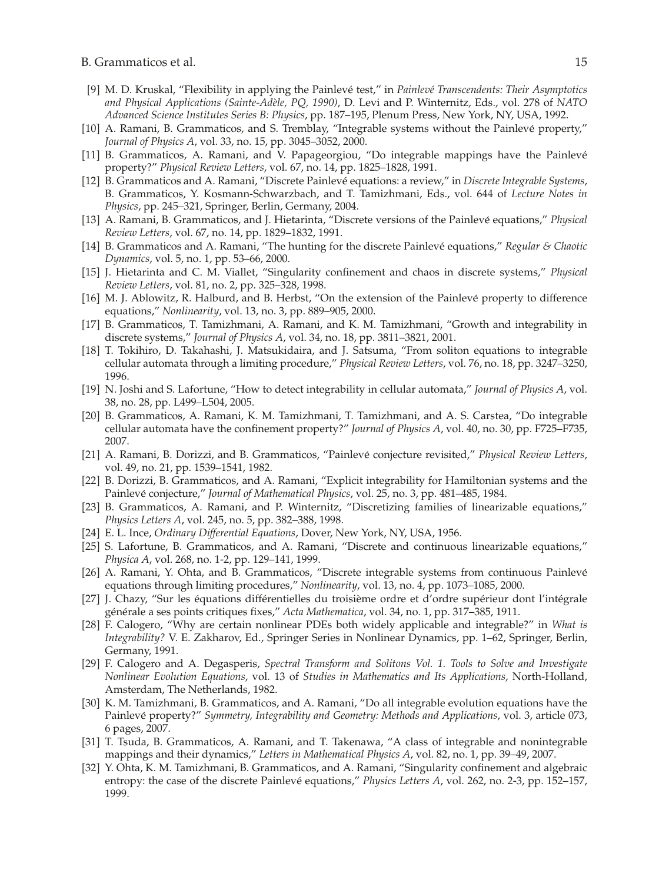- 9 M. D. Kruskal, "Flexibility in applying the Painleve test," in ´ *Painleve Transcendents: Their Asymptotics ´ and Physical Applications (Sainte-Adele, PQ, 1990) `* , D. Levi and P. Winternitz, Eds., vol. 278 of *NATO Advanced Science Institutes Series B: Physics*, pp. 187–195, Plenum Press, New York, NY, USA, 1992.
- 10 A. Ramani, B. Grammaticos, and S. Tremblay, "Integrable systems without the Painleve property," ´ *Journal of Physics A*, vol. 33, no. 15, pp. 3045–3052, 2000.
- [11] B. Grammaticos, A. Ramani, and V. Papageorgiou, "Do integrable mappings have the Painlevé property?" *Physical Review Letters*, vol. 67, no. 14, pp. 1825–1828, 1991.
- 12 B. Grammaticos and A. Ramani, "Discrete Painleve equations: a review," in ´ *Discrete Integrable Systems*, B. Grammaticos, Y. Kosmann-Schwarzbach, and T. Tamizhmani, Eds., vol. 644 of *Lecture Notes in Physics*, pp. 245–321, Springer, Berlin, Germany, 2004.
- 13 A. Ramani, B. Grammaticos, and J. Hietarinta, "Discrete versions of the Painleve equations," ´ *Physical Review Letters*, vol. 67, no. 14, pp. 1829–1832, 1991.
- [14] B. Grammaticos and A. Ramani, "The hunting for the discrete Painlevé equations," Regular & Chaotic *Dynamics*, vol. 5, no. 1, pp. 53–66, 2000.
- 15 J. Hietarinta and C. M. Viallet, "Singularity confinement and chaos in discrete systems," *Physical Review Letters*, vol. 81, no. 2, pp. 325–328, 1998.
- [16] M. J. Ablowitz, R. Halburd, and B. Herbst, "On the extension of the Painlevé property to difference equations," *Nonlinearity*, vol. 13, no. 3, pp. 889–905, 2000.
- [17] B. Grammaticos, T. Tamizhmani, A. Ramani, and K. M. Tamizhmani, "Growth and integrability in discrete systems," *Journal of Physics A*, vol. 34, no. 18, pp. 3811–3821, 2001.
- 18 T. Tokihiro, D. Takahashi, J. Matsukidaira, and J. Satsuma, "From soliton equations to integrable cellular automata through a limiting procedure," *Physical Review Letters*, vol. 76, no. 18, pp. 3247–3250, 1996.
- 19 N. Joshi and S. Lafortune, "How to detect integrability in cellular automata," *Journal of Physics A*, vol. 38, no. 28, pp. L499–L504, 2005.
- 20 B. Grammaticos, A. Ramani, K. M. Tamizhmani, T. Tamizhmani, and A. S. Carstea, "Do integrable cellular automata have the confinement property?" *Journal of Physics A*, vol. 40, no. 30, pp. F725–F735, 2007.
- 21 A. Ramani, B. Dorizzi, and B. Grammaticos, "Painleve conjecture revisited," ´ *Physical Review Letters*, vol. 49, no. 21, pp. 1539–1541, 1982.
- 22 B. Dorizzi, B. Grammaticos, and A. Ramani, "Explicit integrability for Hamiltonian systems and the Painlevé conjecture," *Journal of Mathematical Physics*, vol. 25, no. 3, pp. 481–485, 1984.
- 23 B. Grammaticos, A. Ramani, and P. Winternitz, "Discretizing families of linearizable equations," *Physics Letters A*, vol. 245, no. 5, pp. 382–388, 1998.
- 24 E. L. Ince, *Ordinary Differential Equations*, Dover, New York, NY, USA, 1956.
- 25 S. Lafortune, B. Grammaticos, and A. Ramani, "Discrete and continuous linearizable equations," *Physica A*, vol. 268, no. 1-2, pp. 129–141, 1999.
- [26] A. Ramani, Y. Ohta, and B. Grammaticos, "Discrete integrable systems from continuous Painlevé equations through limiting procedures," *Nonlinearity*, vol. 13, no. 4, pp. 1073–1085, 2000.
- [27] J. Chazy, "Sur les équations différentielles du troisième ordre et d'ordre supérieur dont l'intégrale générale a ses points critiques fixes," Acta Mathematica, vol. 34, no. 1, pp. 317-385, 1911.
- 28 F. Calogero, "Why are certain nonlinear PDEs both widely applicable and integrable?" in *What is Integrability?* V. E. Zakharov, Ed., Springer Series in Nonlinear Dynamics, pp. 1–62, Springer, Berlin, Germany, 1991.
- 29 F. Calogero and A. Degasperis, *Spectral Transform and Solitons Vol. 1. Tools to Solve and Investigate Nonlinear Evolution Equations*, vol. 13 of *Studies in Mathematics and Its Applications*, North-Holland, Amsterdam, The Netherlands, 1982.
- 30 K. M. Tamizhmani, B. Grammaticos, and A. Ramani, "Do all integrable evolution equations have the Painlevé property?" Symmetry, Integrability and Geometry: Methods and Applications, vol. 3, article 073, 6 pages, 2007.
- [31] T. Tsuda, B. Grammaticos, A. Ramani, and T. Takenawa, "A class of integrable and nonintegrable mappings and their dynamics," *Letters in Mathematical Physics A*, vol. 82, no. 1, pp. 39–49, 2007.
- 32 Y. Ohta, K. M. Tamizhmani, B. Grammaticos, and A. Ramani, "Singularity confinement and algebraic entropy: the case of the discrete Painlevé equations," *Physics Letters A*, vol. 262, no. 2-3, pp. 152-157, 1999.